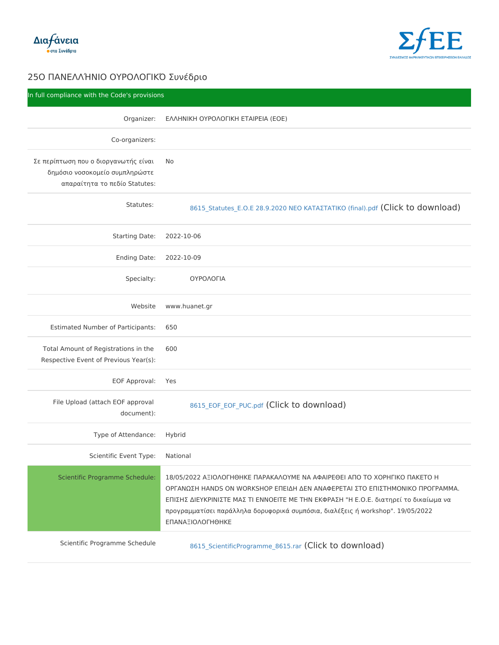| In full compliance with the Code's provisions                                                                                                                                                 |                                                                                                               |
|-----------------------------------------------------------------------------------------------------------------------------------------------------------------------------------------------|---------------------------------------------------------------------------------------------------------------|
|                                                                                                                                                                                               |                                                                                                               |
| Co-organizers:                                                                                                                                                                                |                                                                                                               |
| $E \mu$ $\lambda \mu$ Á <sup>-</sup> $\lambda$ ÄÉ÷ $\lambda$ <sub>¿</sub> Å <sub>¿</sub> ''¿Á <sup>3</sup> ±½ÉMI®Â $\mu$ <sup>-</sup> ½± <sup>1</sup>                                         |                                                                                                               |
| $4.44$ $\tilde{A}$ $3.44$ $\tilde{A}$ $3.44$ $\tilde{A}$ $3.44$ $\tilde{A}$ $3.44$ $\tilde{A}$ $3.44$ $\tilde{A}$ $3.44$ $\tilde{A}$<br>±À±Á± <sup>-</sup> ķı Ä¿ Àμ' <sup>-</sup> ¿ Statutes: |                                                                                                               |
|                                                                                                                                                                                               |                                                                                                               |
| Statutes:                                                                                                                                                                                     | 8615_Statutes_•. Ÿ.• 28.9.2020 •• Ÿ š'¤'£¤'¤™(š©l(ifcrkalto do wnload)                                        |
| Starting Dat2022-10-06                                                                                                                                                                        |                                                                                                               |
| Ending Date2:022-10-09                                                                                                                                                                        |                                                                                                               |
| Specialty:                                                                                                                                                                                    | Ÿ¥¡Ÿ›Ÿ"™'                                                                                                     |
|                                                                                                                                                                                               | Websitewww.huanet.gr                                                                                          |
| Estimated Number of Particip@ants:                                                                                                                                                            |                                                                                                               |
| Total Amount of Registration6600n the                                                                                                                                                         |                                                                                                               |
| Respective Event of Previous Year(s):                                                                                                                                                         |                                                                                                               |
| EOF ApprovaMes                                                                                                                                                                                |                                                                                                               |
| $document)$ :                                                                                                                                                                                 | File Upload (attach EOF approvabis_EOF_EOF_PU(C.bidck to download)                                            |
| Type of Attendant bebrid                                                                                                                                                                      |                                                                                                               |
| Scientific Event TNp bional                                                                                                                                                                   |                                                                                                               |
|                                                                                                                                                                                               | Scientific Programme Sch&d05d2022 'ž™Ÿ>Ÿ"— <sup>~</sup> —š• '¡'š'>Ÿ¥œ• •' '¦'™¡•  •™ ' Ÿ ¤Ÿ §Ÿ¡— "™šŸ 'š•¤Ÿ · |

|  | Scientific Programme Sch&d05∉2022'ž™Ϋ́νΫ́—~—Š•'¡'šʻ›Ϋ́¥œ••' '¦'™¡•~•™' Ϋ́¤Ϋ́ §Ϋ́¡—"™šΫ́ 'š•¤Ϋ́ –                      |
|--|-----------------------------------------------------------------------------------------------------------------------|
|  | Ÿ ; " ' • © £ — HANDS ON WORKSHOP • •™ " — " • • ' • ' • ; •¤ ' ™ £¤Ÿ • ™£¤ — œ Ÿ • ™ šŸ                              |
|  | - ™£—£ "™•¥š¡™•™£¤• œ'£ ¤™ •••Ÿ•™¤• œ• ¤—• •𦡑£— "— •.Ÿ.•. ´1±Ä⋅Á⊔¯                                                    |
|  | ÀÁ¿3Á±¼¼±Ä¯Ãμ↑ À±Á¬»»⋅»± ´¿ÁÅÆ¿Á <sup>1ο</sup> ¬ ÃżÀÌÃ↑±, ´1±»-¾μ↑ ® workshop' <mark>'</mark>                         |
|  | $\cdot$ $\cdot$ $\cdot$ $\cdot$ $\frac{1}{2}$ TM $\ddot{Y}$ $\cdot$ $\ddot{Y}$ " $\cdots$ $\cdots$ $\ddot{S}$ $\cdot$ |
|  |                                                                                                                       |

Scientific Programme Schedulg  $_{615\_S}$ cientificProgramme\_ $(8G\dagger\bar{b}$ Cr $k$ r to download)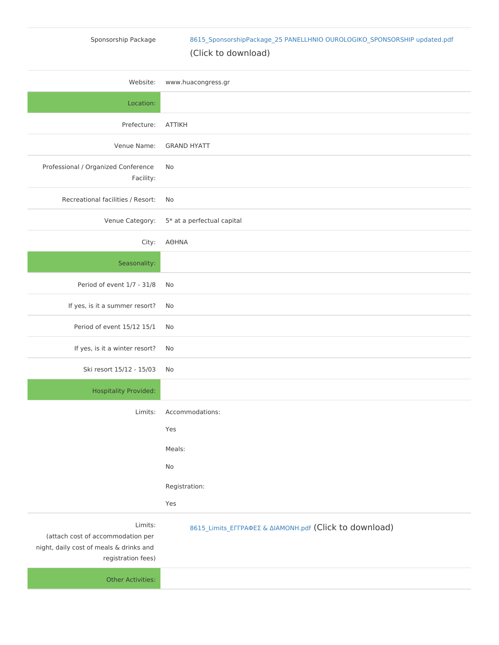## Sponsorship Package [8615\\_SponsorshipPackage\\_25 PANELLHNIO OUROLOGIKO\\_SP](https://scientific.events.sfee.gr/storage/Uploads/8615_SponsorshipPackage_25 PANELLHNIO OUROLOGIKO_SPONSORSHIP updated.pdf)ONSORSH

## (Click to download)

Website:www.huacongress.gr

Location:

PrefectureATTIKH

Venue NameGRAND HYATT

Professional / Organized ConNforence

Facility:

Recreational facilities / NRoesort:

Venue Categor5y\*: at a perfectual capital

 $City: '" - •'$ 

Seasonality:

Period of event  $1/7$   $N81/8$ 

If yes, is it a summer Necsort?

Period of event  $15/12N65/1$ 

If yes, is it a winter Necsort?

Ski resort 15/12 - 105003

Hospitality Provided:

Limits:Accommodations:

| Yes           |
|---------------|
| $M$ eals:     |
| Nο            |
| Registration: |
| Yes           |

Limits: (attach cost of accommodation per night, daily cost of meals & drinks and  $8615$ \_Limits\_ $\cdot$ "";' $\cdot$ £ & "™'œŸ(Glpick to download)

registration fees)

Other Activities: